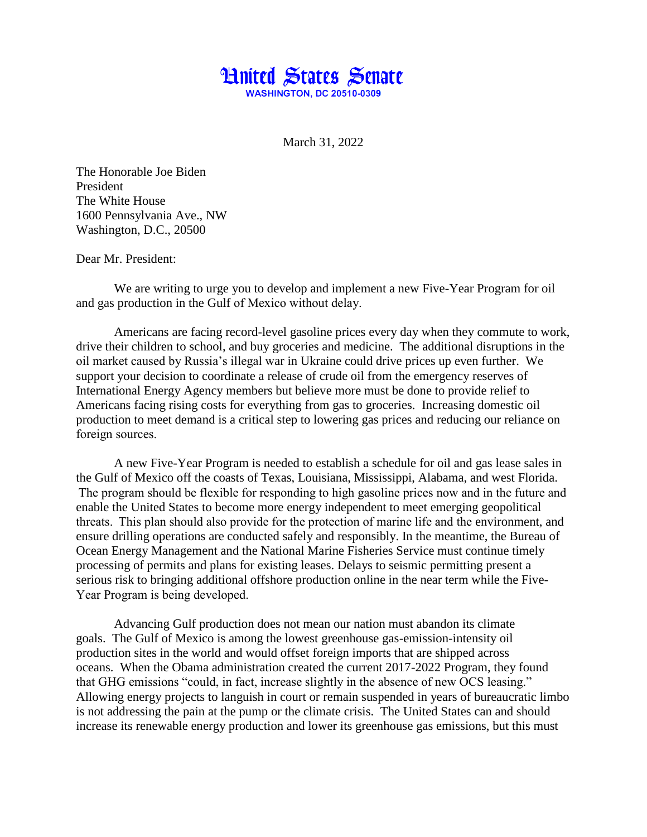

March 31, 2022

The Honorable Joe Biden President The White House 1600 Pennsylvania Ave., NW Washington, D.C., 20500

Dear Mr. President:

We are writing to urge you to develop and implement a new Five-Year Program for oil and gas production in the Gulf of Mexico without delay.  

Americans are facing record-level gasoline prices every day when they commute to work, drive their children to school, and buy groceries and medicine. The additional disruptions in the oil market caused by Russia's illegal war in Ukraine could drive prices up even further. We support your decision to coordinate a release of crude oil from the emergency reserves of International Energy Agency members but believe more must be done to provide relief to Americans facing rising costs for everything from gas to groceries. Increasing domestic oil production to meet demand is a critical step to lowering gas prices and reducing our reliance on foreign sources.  

A new Five-Year Program is needed to establish a schedule for oil and gas lease sales in the Gulf of Mexico off the coasts of Texas, Louisiana, Mississippi, Alabama, and west Florida.  The program should be flexible for responding to high gasoline prices now and in the future and enable the United States to become more energy independent to meet emerging geopolitical threats.  This plan should also provide for the protection of marine life and the environment, and ensure drilling operations are conducted safely and responsibly. In the meantime, the Bureau of Ocean Energy Management and the National Marine Fisheries Service must continue timely processing of permits and plans for existing leases. Delays to seismic permitting present a serious risk to bringing additional offshore production online in the near term while the Five-Year Program is being developed.   

Advancing Gulf production does not mean our nation must abandon its climate goals. The Gulf of Mexico is among the lowest greenhouse gas-emission-intensity oil production sites in the world and would offset foreign imports that are shipped across oceans. When the Obama administration created the current 2017-2022 Program, they found that GHG emissions "could, in fact, increase slightly in the absence of new OCS leasing." Allowing energy projects to languish in court or remain suspended in years of bureaucratic limbo is not addressing the pain at the pump or the climate crisis. The United States can and should increase its renewable energy production and lower its greenhouse gas emissions, but this must